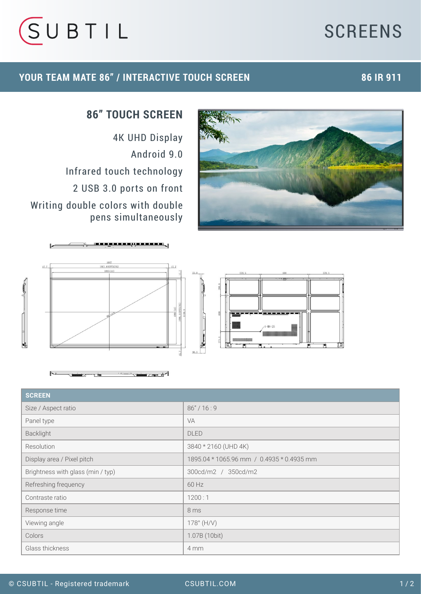## **SCREENS**



#### **YOUR TEAM MATE 86" / INTERACTIVE TOUCH SCREEN 86 IR 911**



### **86" TOUCH SCREEN**

4K UHD Display Android 9.0 Infrared touch technology 2 USB 3.0 ports on front Writing double colors with double pens simultaneously



 $\overline{a}$ 



| <b>SCREEN</b>                     |                                           |
|-----------------------------------|-------------------------------------------|
| Size / Aspect ratio               | 86''/16:9                                 |
| Panel type                        | VA                                        |
| Backlight                         | <b>DLED</b>                               |
| Resolution                        | 3840 * 2160 (UHD 4K)                      |
| Display area / Pixel pitch        | 1895.04 * 1065.96 mm / 0.4935 * 0.4935 mm |
| Brightness with glass (min / typ) | 300cd/m2 / 350cd/m2                       |
| Refreshing frequency              | 60 Hz                                     |
| Contraste ratio                   | 1200:1                                    |
| Response time                     | 8 ms                                      |
| Viewing angle                     | $178^{\circ}$ (H/V)                       |
| Colors                            | 1.07B (10bit)                             |
| Glass thickness                   | 4 mm                                      |

 $\overline{\phantom{1}}$